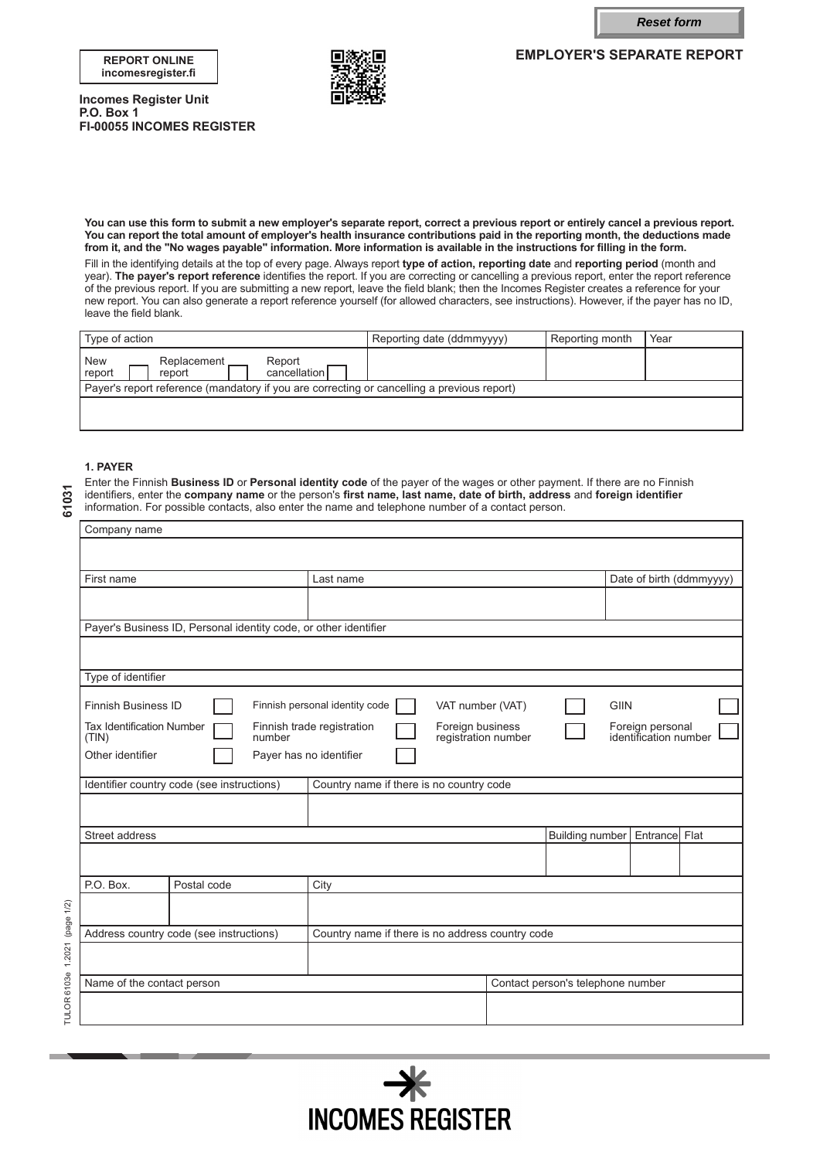**Reset form**

**EMPLOYER'S SEPARATE REPORT**





**Incomes Register Unit P.O. Box 1 FI-00055 INCOMES REGISTER**

**You can use this form to submit a new employer's separate report, correct a previous report or entirely cancel a previous report. You can report the total amount of employer's health insurance contributions paid in the reporting month, the deductions made from it, and the "No wages payable" information. More information is available in the instructions for filling in the form.**

Fill in the identifying details at the top of every page. Always report **type of action, reporting date** and **reporting period** (month and year). **The payer's report reference** identifies the report. If you are correcting or cancelling a previous report, enter the report reference of the previous report. If you are submitting a new report, leave the field blank; then the Incomes Register creates a reference for your new report. You can also generate a report reference yourself (for allowed characters, see instructions). However, if the payer has no ID, leave the field blank.

| I Type of action                                                                           | Reporting date (ddmmyyyy) | Reporting month | Year |  |
|--------------------------------------------------------------------------------------------|---------------------------|-----------------|------|--|
| New<br>report<br>Replacement<br>Report<br>cancellation<br>report                           |                           |                 |      |  |
| Payer's report reference (mandatory if you are correcting or cancelling a previous report) |                           |                 |      |  |
|                                                                                            |                           |                 |      |  |

### **1. PAYER**

**61031**

Enter the Finnish **Business ID** or **Personal identity code** of the payer of the wages or other payment. If there are no Finnish identifiers, enter the **company name** or the person's **first name, last name, date of birth, address** and **foreign identifier** information. For possible contacts, also enter the name and telephone number of a contact person.

| First name<br>Last name<br>Payer's Business ID, Personal identity code, or other identifier<br>Type of identifier            | Date of birth (ddmmyyyy)                  |  |  |
|------------------------------------------------------------------------------------------------------------------------------|-------------------------------------------|--|--|
|                                                                                                                              |                                           |  |  |
|                                                                                                                              |                                           |  |  |
|                                                                                                                              |                                           |  |  |
|                                                                                                                              |                                           |  |  |
|                                                                                                                              |                                           |  |  |
|                                                                                                                              |                                           |  |  |
| <b>Finnish Business ID</b><br>Finnish personal identity code<br><b>GIIN</b><br>VAT number (VAT)                              |                                           |  |  |
| <b>Tax Identification Number</b><br>Finnish trade registration<br>Foreign business<br>registration number<br>number<br>(TIN) | Foreign personal<br>identification number |  |  |
| Other identifier<br>Payer has no identifier                                                                                  |                                           |  |  |
| Identifier country code (see instructions)<br>Country name if there is no country code                                       |                                           |  |  |
|                                                                                                                              |                                           |  |  |
| <b>Building number</b><br>Street address                                                                                     | Entrance Flat                             |  |  |
|                                                                                                                              |                                           |  |  |
| P.O. Box.<br>Postal code<br>City                                                                                             |                                           |  |  |
| 1.2021 (page 1/2)                                                                                                            |                                           |  |  |
| Country name if there is no address country code<br>Address country code (see instructions)                                  |                                           |  |  |
|                                                                                                                              |                                           |  |  |
| Name of the contact person<br>Contact person's telephone number                                                              |                                           |  |  |
| TULOR 6103e                                                                                                                  |                                           |  |  |